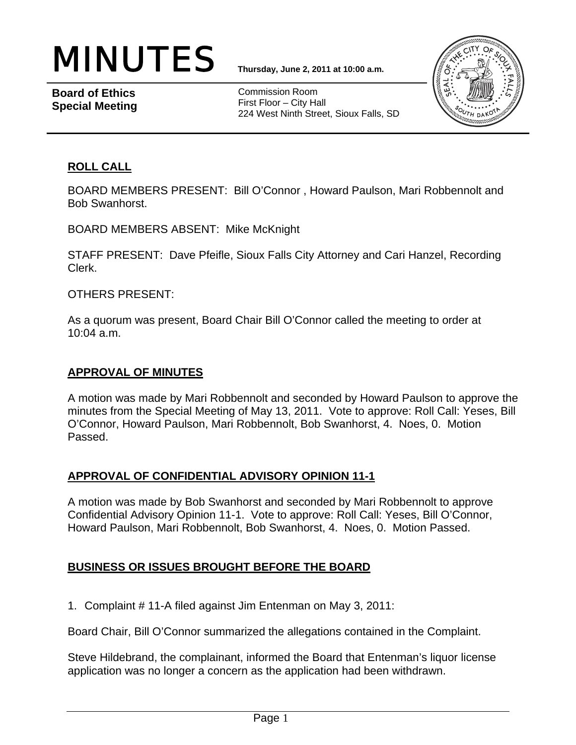

**Board of Ethics Special Meeting** 

Commission Room First Floor – City Hall 224 West Ninth Street, Sioux Falls, SD



### **ROLL CALL**

BOARD MEMBERS PRESENT: Bill O'Connor , Howard Paulson, Mari Robbennolt and Bob Swanhorst.

BOARD MEMBERS ABSENT: Mike McKnight

STAFF PRESENT: Dave Pfeifle, Sioux Falls City Attorney and Cari Hanzel, Recording Clerk.

OTHERS PRESENT:

As a quorum was present, Board Chair Bill O'Connor called the meeting to order at 10:04 a.m.

### **APPROVAL OF MINUTES**

A motion was made by Mari Robbennolt and seconded by Howard Paulson to approve the minutes from the Special Meeting of May 13, 2011. Vote to approve: Roll Call: Yeses, Bill O'Connor, Howard Paulson, Mari Robbennolt, Bob Swanhorst, 4. Noes, 0. Motion Passed.

# **APPROVAL OF CONFIDENTIAL ADVISORY OPINION 11-1**

A motion was made by Bob Swanhorst and seconded by Mari Robbennolt to approve Confidential Advisory Opinion 11-1. Vote to approve: Roll Call: Yeses, Bill O'Connor, Howard Paulson, Mari Robbennolt, Bob Swanhorst, 4. Noes, 0. Motion Passed.

# **BUSINESS OR ISSUES BROUGHT BEFORE THE BOARD**

1. Complaint # 11-A filed against Jim Entenman on May 3, 2011:

Board Chair, Bill O'Connor summarized the allegations contained in the Complaint.

Steve Hildebrand, the complainant, informed the Board that Entenman's liquor license application was no longer a concern as the application had been withdrawn.